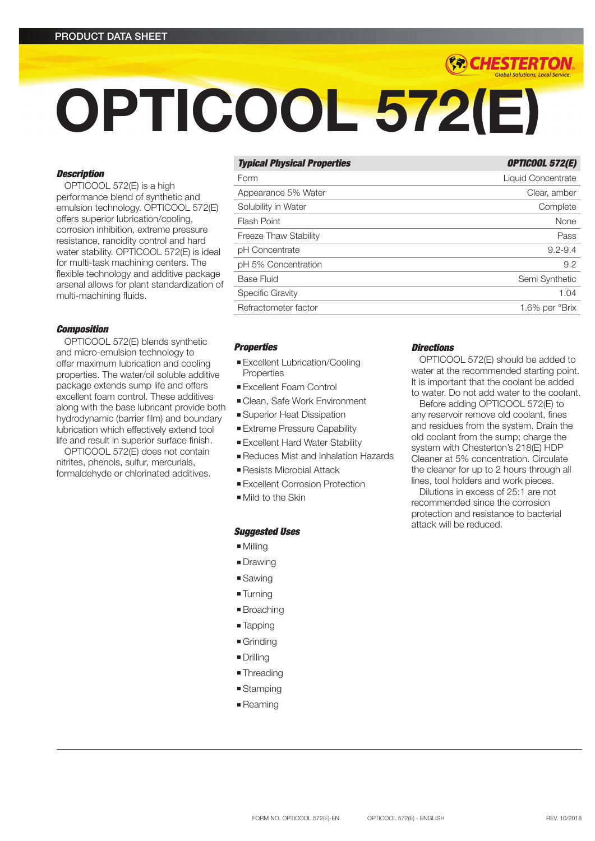# OPTICOOL 572(E)

# *Description*

OPTICOOL 572(E) is a high performance blend of synthetic and emulsion technology. OPTICOOL 572(E) offers superior lubrication/cooling, corrosion inhibition, extreme pressure resistance, rancidity control and hard water stability. OPTICOOL 572(E) is ideal for multi-task machining centers. The flexible technology and additive package arsenal allows for plant standardization of multi-machining fluids.

#### *Composition*

OPTICOOL 572(E) blends synthetic and micro-emulsion technology to offer maximum lubrication and cooling properties. The water/oil soluble additive package extends sump life and offers excellent foam control. These additives along with the base lubricant provide both hydrodynamic (barrier film) and boundary lubrication which effectively extend tool life and result in superior surface finish.

OPTICOOL 572(E) does not contain nitrites, phenols, sulfur, mercurials, formaldehyde or chlorinated additives.

# **Typical Physical Properties OPTICOOL 572(E)**

*(\*\*) CHESTERTON* 

| Form                  | Liquid Concentrate |
|-----------------------|--------------------|
| Appearance 5% Water   | Clear, amber       |
| Solubility in Water   | Complete           |
| Flash Point           | None               |
| Freeze Thaw Stability | Pass               |
| pH Concentrate        | $9.2 - 9.4$        |
| pH 5% Concentration   | 9.2                |
| <b>Base Fluid</b>     | Semi Synthetic     |
| Specific Gravity      | 1.04               |
| Refractometer factor  | 1.6% per °Brix     |

# *Properties*

- **Excellent Lubrication/Cooling Properties**
- **Excellent Foam Control**
- Clean, Safe Work Environment
- **Example 3** Superior Heat Dissipation
- **Extreme Pressure Capability**
- **Excellent Hard Water Stability**
- <sup>n</sup> Reduces Mist and Inhalation Hazards
- Resists Microbial Attack
- **Excellent Corrosion Protection**
- $\blacksquare$  Mild to the Skin

#### *Suggested Uses*

- $Mill$ illing
- **Drawing**
- **s** Sawing
- Turning
- Broaching
- Tapping
- $\blacksquare$  Grinding
- Drilling
- **Threading**
- $\blacksquare$  Stamping
- **Reaming**

# *Directions*

OPTICOOL 572(E) should be added to water at the recommended starting point. It is important that the coolant be added to water. Do not add water to the coolant.

Before adding OPTICOOL 572(E) to any reservoir remove old coolant, fines and residues from the system. Drain the old coolant from the sump; charge the system with Chesterton's 218(E) HDP Cleaner at 5% concentration. Circulate the cleaner for up to 2 hours through all lines, tool holders and work pieces.

Dilutions in excess of 25:1 are not recommended since the corrosion protection and resistance to bacterial attack will be reduced.